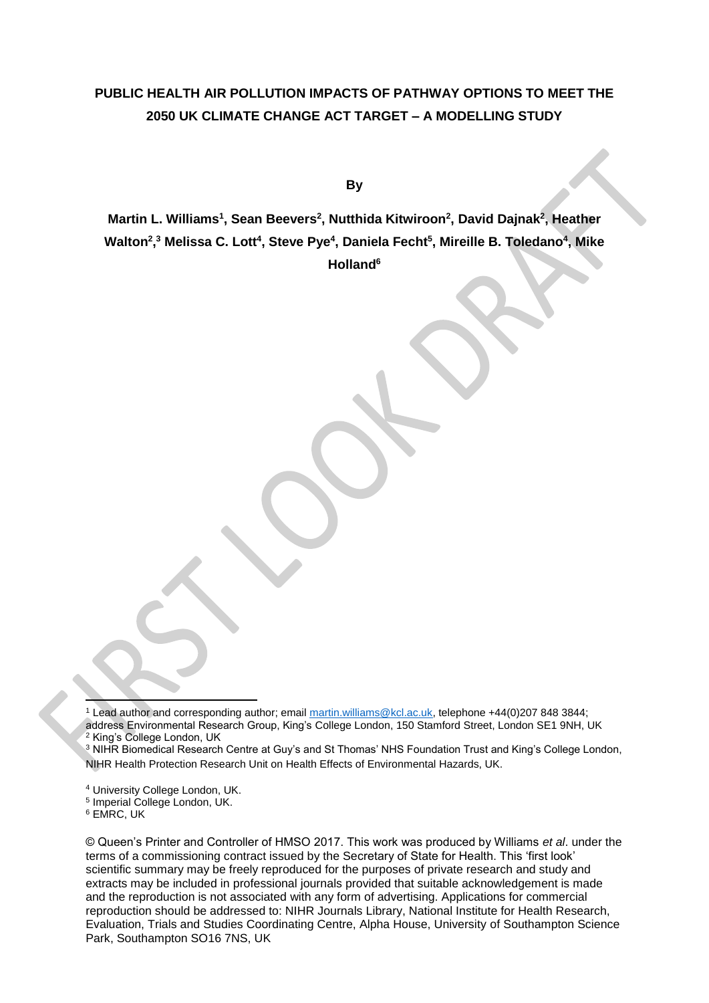# **PUBLIC HEALTH AIR POLLUTION IMPACTS OF PATHWAY OPTIONS TO MEET THE 2050 UK CLIMATE CHANGE ACT TARGET – A MODELLING STUDY**

**By** 

**Martin L. Williams<sup>1</sup> , Sean Beevers<sup>2</sup> , Nutthida Kitwiroon<sup>2</sup> , David Dajnak<sup>2</sup> , Heather**  Walton<sup>2</sup>,<sup>3</sup> Melissa C. Lott<sup>4</sup>, Steve Pye<sup>4</sup>, Daniela Fecht<sup>5</sup>, Mireille B. Toledano<sup>4</sup>, Mike **Holland<sup>6</sup>**

 $\overline{a}$ <sup>1</sup> Lead author and corresponding author; email [martin.williams@kcl.ac.uk,](mailto:martin.williams@kcl.ac.uk) telephone +44(0)207 848 3844; address Environmental Research Group, King's College London, 150 Stamford Street, London SE1 9NH, UK <sup>2</sup> King's College London, UK

<sup>3</sup> NIHR Biomedical Research Centre at Guy's and St Thomas' NHS Foundation Trust and King's College London, NIHR Health Protection Research Unit on Health Effects of Environmental Hazards, UK.

<sup>4</sup> University College London, UK.

5 Imperial College London, UK.

<sup>6</sup> EMRC, UK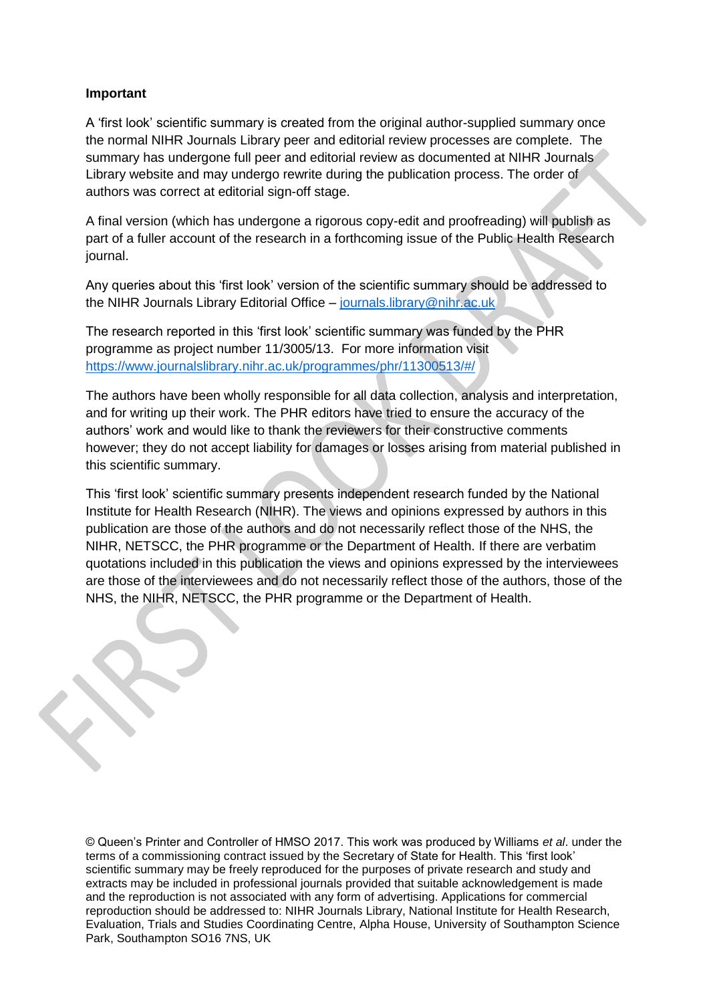## **Important**

A 'first look' scientific summary is created from the original author-supplied summary once the normal NIHR Journals Library peer and editorial review processes are complete. The summary has undergone full peer and editorial review as documented at NIHR Journals Library website and may undergo rewrite during the publication process. The order of authors was correct at editorial sign-off stage.

A final version (which has undergone a rigorous copy-edit and proofreading) will publish as part of a fuller account of the research in a forthcoming issue of the Public Health Research journal.

Any queries about this 'first look' version of the scientific summary should be addressed to the NIHR Journals Library Editorial Office – [journals.library@nihr.ac.uk](mailto:journals.library@nihr.ac.uk)

The research reported in this 'first look' scientific summary was funded by the PHR programme as project number 11/3005/13. For more information visit <https://www.journalslibrary.nihr.ac.uk/programmes/phr/11300513/#/>

The authors have been wholly responsible for all data collection, analysis and interpretation, and for writing up their work. The PHR editors have tried to ensure the accuracy of the authors' work and would like to thank the reviewers for their constructive comments however; they do not accept liability for damages or losses arising from material published in this scientific summary.

This 'first look' scientific summary presents independent research funded by the National Institute for Health Research (NIHR). The views and opinions expressed by authors in this publication are those of the authors and do not necessarily reflect those of the NHS, the NIHR, NETSCC, the PHR programme or the Department of Health. If there are verbatim quotations included in this publication the views and opinions expressed by the interviewees are those of the interviewees and do not necessarily reflect those of the authors, those of the NHS, the NIHR, NETSCC, the PHR programme or the Department of Health.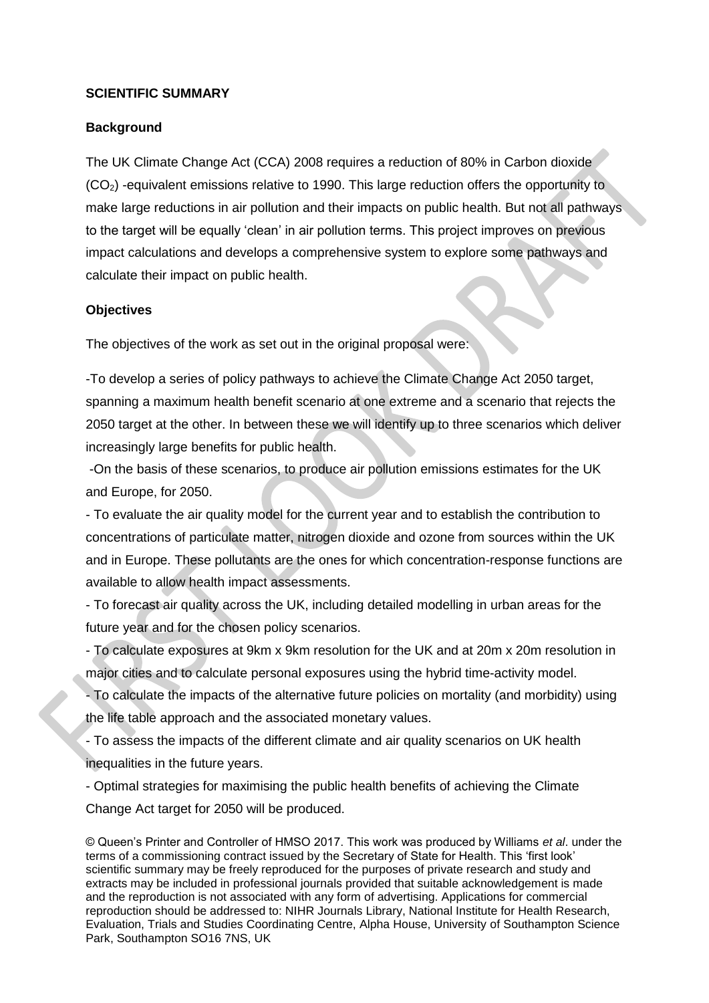## **SCIENTIFIC SUMMARY**

# **Background**

The UK Climate Change Act (CCA) 2008 requires a reduction of 80% in Carbon dioxide (CO2) -equivalent emissions relative to 1990. This large reduction offers the opportunity to make large reductions in air pollution and their impacts on public health. But not all pathways to the target will be equally 'clean' in air pollution terms. This project improves on previous impact calculations and develops a comprehensive system to explore some pathways and calculate their impact on public health.

# **Objectives**

The objectives of the work as set out in the original proposal were:

-To develop a series of policy pathways to achieve the Climate Change Act 2050 target, spanning a maximum health benefit scenario at one extreme and a scenario that rejects the 2050 target at the other. In between these we will identify up to three scenarios which deliver increasingly large benefits for public health.

-On the basis of these scenarios, to produce air pollution emissions estimates for the UK and Europe, for 2050.

- To evaluate the air quality model for the current year and to establish the contribution to concentrations of particulate matter, nitrogen dioxide and ozone from sources within the UK and in Europe. These pollutants are the ones for which concentration-response functions are available to allow health impact assessments.

- To forecast air quality across the UK, including detailed modelling in urban areas for the future year and for the chosen policy scenarios.

- To calculate exposures at 9km x 9km resolution for the UK and at 20m x 20m resolution in major cities and to calculate personal exposures using the hybrid time-activity model.

- To calculate the impacts of the alternative future policies on mortality (and morbidity) using the life table approach and the associated monetary values.

- To assess the impacts of the different climate and air quality scenarios on UK health inequalities in the future years.

- Optimal strategies for maximising the public health benefits of achieving the Climate Change Act target for 2050 will be produced.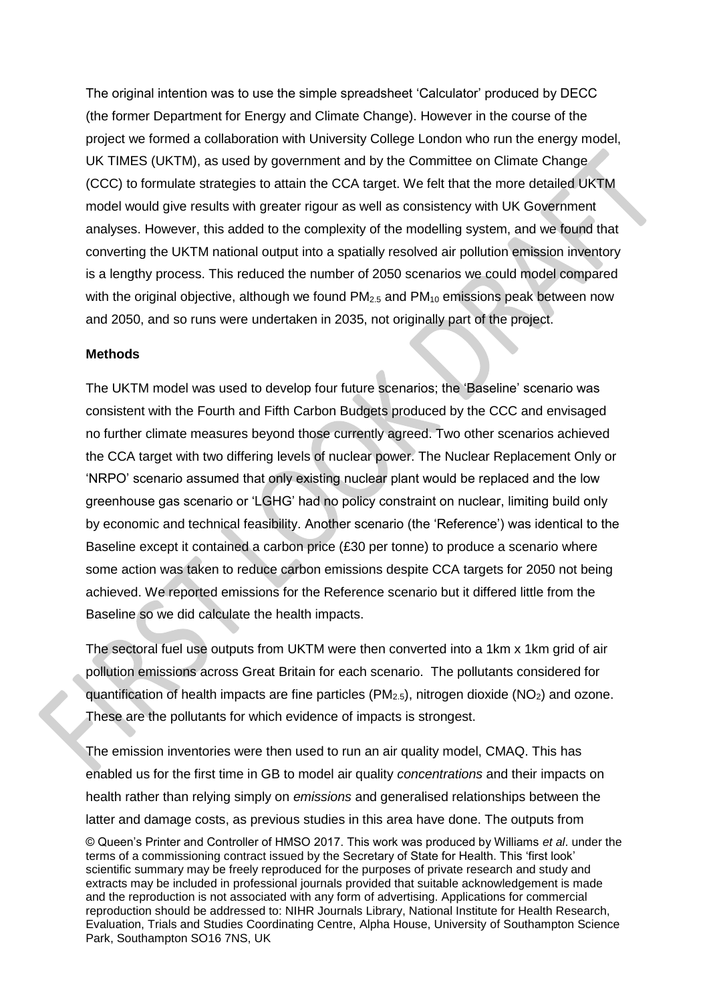The original intention was to use the simple spreadsheet 'Calculator' produced by DECC (the former Department for Energy and Climate Change). However in the course of the project we formed a collaboration with University College London who run the energy model, UK TIMES (UKTM), as used by government and by the Committee on Climate Change (CCC) to formulate strategies to attain the CCA target. We felt that the more detailed UKTM model would give results with greater rigour as well as consistency with UK Government analyses. However, this added to the complexity of the modelling system, and we found that converting the UKTM national output into a spatially resolved air pollution emission inventory is a lengthy process. This reduced the number of 2050 scenarios we could model compared with the original objective, although we found  $PM_{2.5}$  and  $PM_{10}$  emissions peak between now and 2050, and so runs were undertaken in 2035, not originally part of the project.

#### **Methods**

The UKTM model was used to develop four future scenarios; the 'Baseline' scenario was consistent with the Fourth and Fifth Carbon Budgets produced by the CCC and envisaged no further climate measures beyond those currently agreed. Two other scenarios achieved the CCA target with two differing levels of nuclear power. The Nuclear Replacement Only or 'NRPO' scenario assumed that only existing nuclear plant would be replaced and the low greenhouse gas scenario or 'LGHG' had no policy constraint on nuclear, limiting build only by economic and technical feasibility. Another scenario (the 'Reference') was identical to the Baseline except it contained a carbon price (£30 per tonne) to produce a scenario where some action was taken to reduce carbon emissions despite CCA targets for 2050 not being achieved. We reported emissions for the Reference scenario but it differed little from the Baseline so we did calculate the health impacts.

The sectoral fuel use outputs from UKTM were then converted into a 1km x 1km grid of air pollution emissions across Great Britain for each scenario. The pollutants considered for quantification of health impacts are fine particles ( $PM<sub>2.5</sub>$ ), nitrogen dioxide ( $NO<sub>2</sub>$ ) and ozone. These are the pollutants for which evidence of impacts is strongest.

The emission inventories were then used to run an air quality model, CMAQ. This has enabled us for the first time in GB to model air quality *concentrations* and their impacts on health rather than relying simply on *emissions* and generalised relationships between the latter and damage costs, as previous studies in this area have done. The outputs from

<sup>©</sup> Queen's Printer and Controller of HMSO 2017. This work was produced by Williams *et al*. under the terms of a commissioning contract issued by the Secretary of State for Health. This 'first look' scientific summary may be freely reproduced for the purposes of private research and study and extracts may be included in professional journals provided that suitable acknowledgement is made and the reproduction is not associated with any form of advertising. Applications for commercial reproduction should be addressed to: NIHR Journals Library, National Institute for Health Research, Evaluation, Trials and Studies Coordinating Centre, Alpha House, University of Southampton Science Park, Southampton SO16 7NS, UK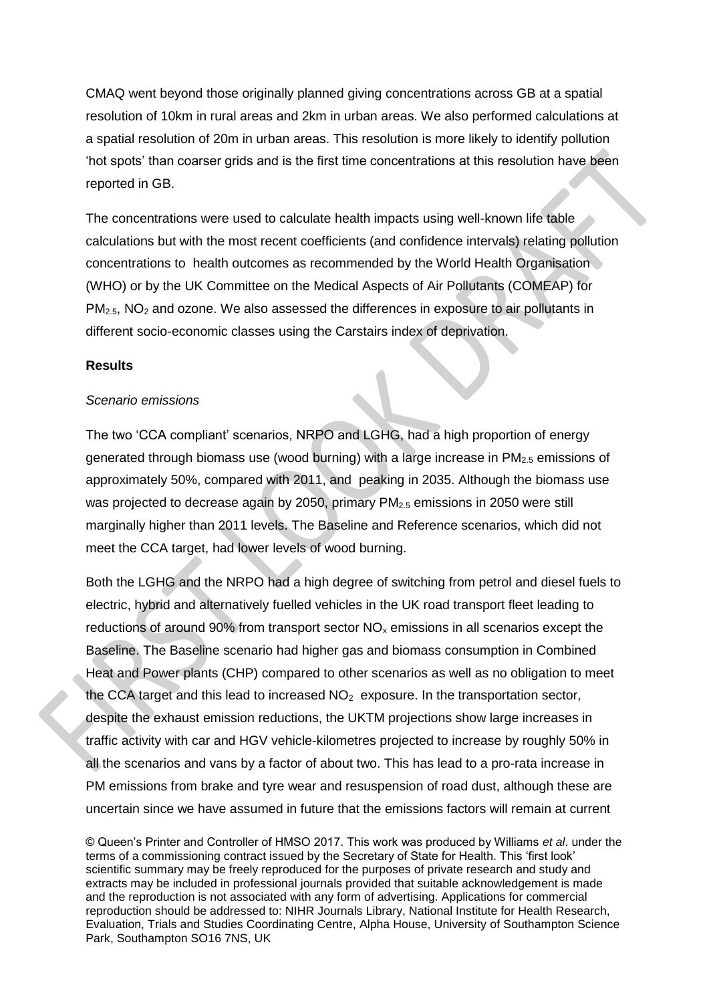CMAQ went beyond those originally planned giving concentrations across GB at a spatial resolution of 10km in rural areas and 2km in urban areas. We also performed calculations at a spatial resolution of 20m in urban areas. This resolution is more likely to identify pollution 'hot spots' than coarser grids and is the first time concentrations at this resolution have been reported in GB.

The concentrations were used to calculate health impacts using well-known life table calculations but with the most recent coefficients (and confidence intervals) relating pollution concentrations to health outcomes as recommended by the World Health Organisation (WHO) or by the UK Committee on the Medical Aspects of Air Pollutants (COMEAP) for  $PM<sub>2.5</sub>$ , NO<sub>2</sub> and ozone. We also assessed the differences in exposure to air pollutants in different socio-economic classes using the Carstairs index of deprivation.

#### **Results**

#### *Scenario emissions*

The two 'CCA compliant' scenarios, NRPO and LGHG, had a high proportion of energy generated through biomass use (wood burning) with a large increase in  $PM<sub>2.5</sub>$  emissions of approximately 50%, compared with 2011, and peaking in 2035. Although the biomass use was projected to decrease again by 2050, primary PM<sub>2.5</sub> emissions in 2050 were still marginally higher than 2011 levels. The Baseline and Reference scenarios, which did not meet the CCA target, had lower levels of wood burning.

Both the LGHG and the NRPO had a high degree of switching from petrol and diesel fuels to electric, hybrid and alternatively fuelled vehicles in the UK road transport fleet leading to reductions of around 90% from transport sector  $NO<sub>x</sub>$  emissions in all scenarios except the Baseline. The Baseline scenario had higher gas and biomass consumption in Combined Heat and Power plants (CHP) compared to other scenarios as well as no obligation to meet the CCA target and this lead to increased  $NO<sub>2</sub>$  exposure. In the transportation sector, despite the exhaust emission reductions, the UKTM projections show large increases in traffic activity with car and HGV vehicle-kilometres projected to increase by roughly 50% in all the scenarios and vans by a factor of about two. This has lead to a pro-rata increase in PM emissions from brake and tyre wear and resuspension of road dust, although these are uncertain since we have assumed in future that the emissions factors will remain at current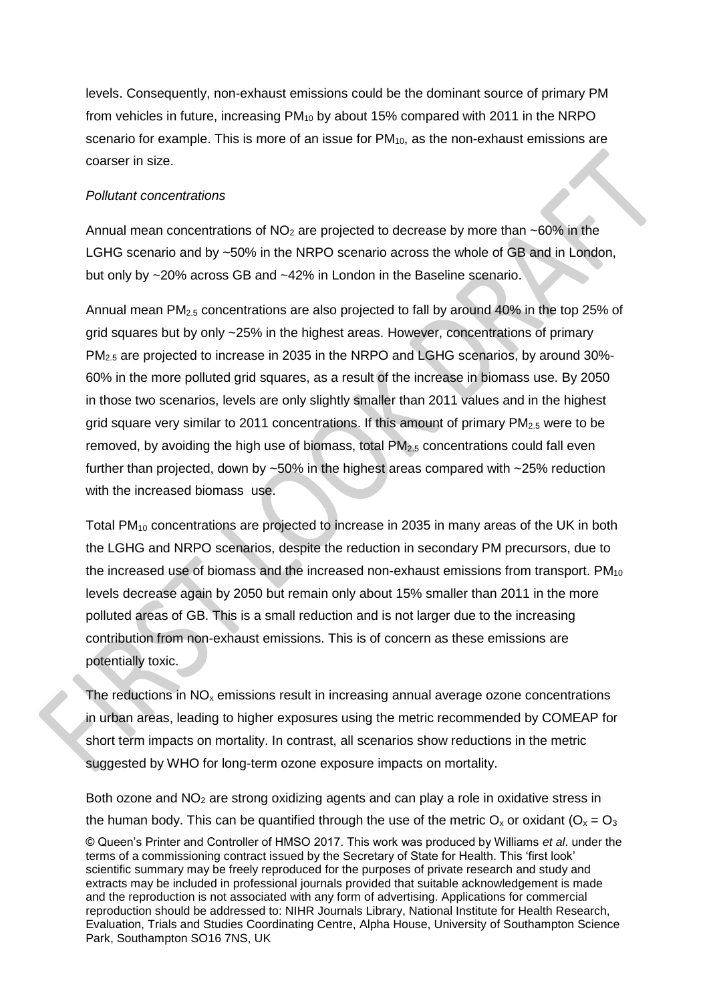levels. Consequently, non-exhaust emissions could be the dominant source of primary PM from vehicles in future, increasing PM<sup>10</sup> by about 15% compared with 2011 in the NRPO scenario for example. This is more of an issue for  $PM_{10}$ , as the non-exhaust emissions are coarser in size.

#### *Pollutant concentrations*

Annual mean concentrations of  $NO<sub>2</sub>$  are projected to decrease by more than ~60% in the LGHG scenario and by ~50% in the NRPO scenario across the whole of GB and in London, but only by ~20% across GB and ~42% in London in the Baseline scenario.

Annual mean PM<sub>2.5</sub> concentrations are also projected to fall by around 40% in the top 25% of grid squares but by only ~25% in the highest areas. However, concentrations of primary PM2.5 are projected to increase in 2035 in the NRPO and LGHG scenarios, by around 30%- 60% in the more polluted grid squares, as a result of the increase in biomass use. By 2050 in those two scenarios, levels are only slightly smaller than 2011 values and in the highest grid square very similar to 2011 concentrations. If this amount of primary  $PM<sub>2.5</sub>$  were to be removed, by avoiding the high use of biomass, total  $PM<sub>2.5</sub>$  concentrations could fall even further than projected, down by ~50% in the highest areas compared with ~25% reduction with the increased biomass use.

Total PM<sup>10</sup> concentrations are projected to increase in 2035 in many areas of the UK in both the LGHG and NRPO scenarios, despite the reduction in secondary PM precursors, due to the increased use of biomass and the increased non-exhaust emissions from transport.  $PM_{10}$ levels decrease again by 2050 but remain only about 15% smaller than 2011 in the more polluted areas of GB. This is a small reduction and is not larger due to the increasing contribution from non-exhaust emissions. This is of concern as these emissions are potentially toxic.

The reductions in  $NO<sub>x</sub>$  emissions result in increasing annual average ozone concentrations in urban areas, leading to higher exposures using the metric recommended by COMEAP for short term impacts on mortality. In contrast, all scenarios show reductions in the metric suggested by WHO for long-term ozone exposure impacts on mortality.

© Queen's Printer and Controller of HMSO 2017. This work was produced by Williams *et al*. under the terms of a commissioning contract issued by the Secretary of State for Health. This 'first look' scientific summary may be freely reproduced for the purposes of private research and study and extracts may be included in professional journals provided that suitable acknowledgement is made and the reproduction is not associated with any form of advertising. Applications for commercial reproduction should be addressed to: NIHR Journals Library, National Institute for Health Research, Evaluation, Trials and Studies Coordinating Centre, Alpha House, University of Southampton Science Park, Southampton SO16 7NS, UK Both ozone and  $NO<sub>2</sub>$  are strong oxidizing agents and can play a role in oxidative stress in the human body. This can be quantified through the use of the metric  $O_x$  or oxidant ( $O_x = O_3$ )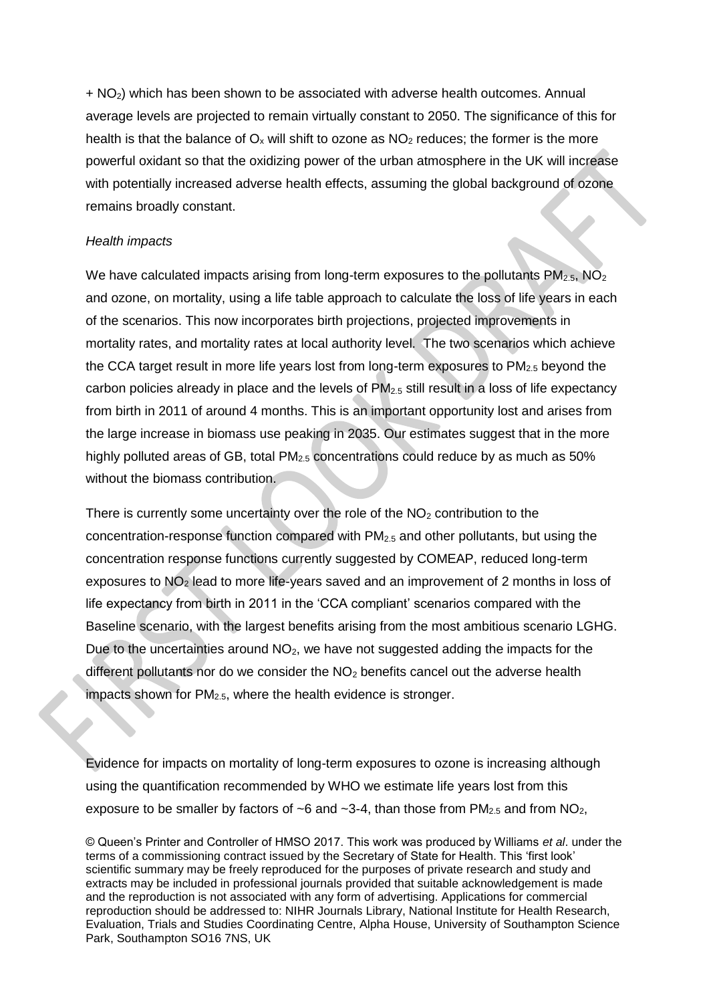$+$  NO<sub>2</sub>) which has been shown to be associated with adverse health outcomes. Annual average levels are projected to remain virtually constant to 2050. The significance of this for health is that the balance of  $O_x$  will shift to ozone as  $NO<sub>2</sub>$  reduces; the former is the more powerful oxidant so that the oxidizing power of the urban atmosphere in the UK will increase with potentially increased adverse health effects, assuming the global background of ozone remains broadly constant.

#### *Health impacts*

We have calculated impacts arising from long-term exposures to the pollutants  $PM<sub>2.5</sub>$ , NO<sub>2</sub> and ozone, on mortality, using a life table approach to calculate the loss of life years in each of the scenarios. This now incorporates birth projections, projected improvements in mortality rates, and mortality rates at local authority level. The two scenarios which achieve the CCA target result in more life years lost from long-term exposures to PM<sub>2.5</sub> beyond the carbon policies already in place and the levels of  $PM_{2.5}$  still result in a loss of life expectancy from birth in 2011 of around 4 months. This is an important opportunity lost and arises from the large increase in biomass use peaking in 2035. Our estimates suggest that in the more highly polluted areas of GB, total PM<sub>2.5</sub> concentrations could reduce by as much as 50% without the biomass contribution.

There is currently some uncertainty over the role of the  $NO<sub>2</sub>$  contribution to the concentration-response function compared with PM2.5 and other pollutants, but using the concentration response functions currently suggested by COMEAP, reduced long-term exposures to NO<sup>2</sup> lead to more life-years saved and an improvement of 2 months in loss of life expectancy from birth in 2011 in the 'CCA compliant' scenarios compared with the Baseline scenario, with the largest benefits arising from the most ambitious scenario LGHG. Due to the uncertainties around  $NO<sub>2</sub>$ , we have not suggested adding the impacts for the different pollutants nor do we consider the  $NO<sub>2</sub>$  benefits cancel out the adverse health impacts shown for  $PM<sub>2.5</sub>$ , where the health evidence is stronger.

Evidence for impacts on mortality of long-term exposures to ozone is increasing although using the quantification recommended by WHO we estimate life years lost from this exposure to be smaller by factors of  $\sim$ 6 and  $\sim$ 3-4, than those from PM<sub>2.5</sub> and from NO<sub>2</sub>,

<sup>©</sup> Queen's Printer and Controller of HMSO 2017. This work was produced by Williams *et al*. under the terms of a commissioning contract issued by the Secretary of State for Health. This 'first look' scientific summary may be freely reproduced for the purposes of private research and study and extracts may be included in professional journals provided that suitable acknowledgement is made and the reproduction is not associated with any form of advertising. Applications for commercial reproduction should be addressed to: NIHR Journals Library, National Institute for Health Research, Evaluation, Trials and Studies Coordinating Centre, Alpha House, University of Southampton Science Park, Southampton SO16 7NS, UK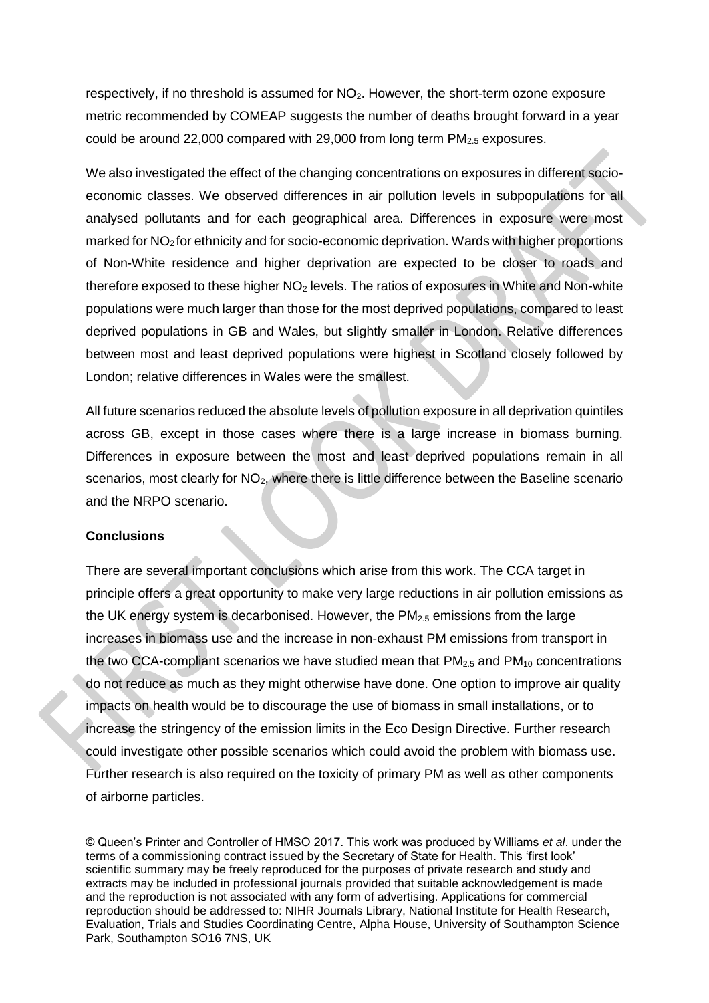respectively, if no threshold is assumed for NO2. However, the short-term ozone exposure metric recommended by COMEAP suggests the number of deaths brought forward in a year could be around 22,000 compared with 29,000 from long term  $PM_{2.5}$  exposures.

We also investigated the effect of the changing concentrations on exposures in different socioeconomic classes. We observed differences in air pollution levels in subpopulations for all analysed pollutants and for each geographical area. Differences in exposure were most marked for NO2 for ethnicity and for socio-economic deprivation. Wards with higher proportions of Non-White residence and higher deprivation are expected to be closer to roads and therefore exposed to these higher  $NO<sub>2</sub>$  levels. The ratios of exposures in White and Non-white populations were much larger than those for the most deprived populations, compared to least deprived populations in GB and Wales, but slightly smaller in London. Relative differences between most and least deprived populations were highest in Scotland closely followed by London; relative differences in Wales were the smallest.

All future scenarios reduced the absolute levels of pollution exposure in all deprivation quintiles across GB, except in those cases where there is a large increase in biomass burning. Differences in exposure between the most and least deprived populations remain in all scenarios, most clearly for NO<sub>2</sub>, where there is little difference between the Baseline scenario and the NRPO scenario.

#### **Conclusions**

There are several important conclusions which arise from this work. The CCA target in principle offers a great opportunity to make very large reductions in air pollution emissions as the UK energy system is decarbonised. However, the  $PM<sub>2.5</sub>$  emissions from the large increases in biomass use and the increase in non-exhaust PM emissions from transport in the two CCA-compliant scenarios we have studied mean that  $PM_{2.5}$  and  $PM_{10}$  concentrations do not reduce as much as they might otherwise have done. One option to improve air quality impacts on health would be to discourage the use of biomass in small installations, or to increase the stringency of the emission limits in the Eco Design Directive. Further research could investigate other possible scenarios which could avoid the problem with biomass use. Further research is also required on the toxicity of primary PM as well as other components of airborne particles.